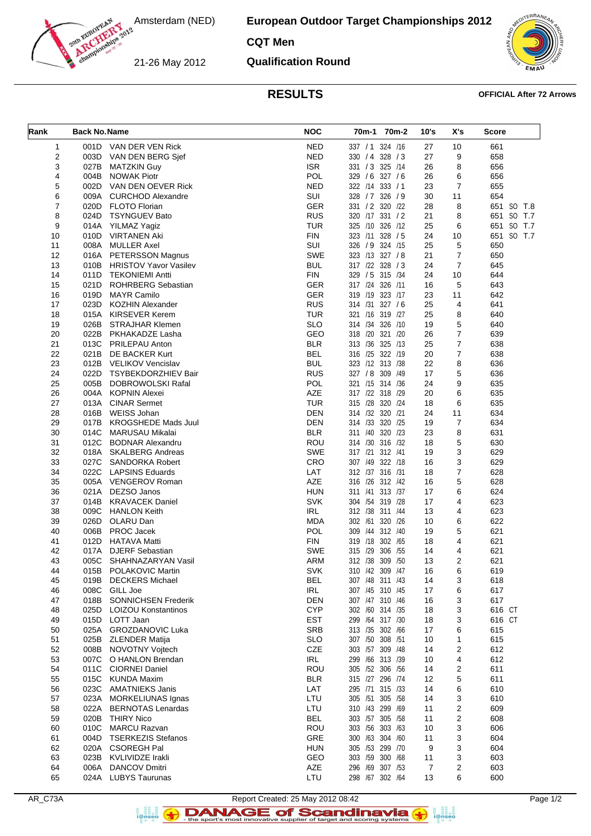Amsterdam (NED)

**European Outdoor Target Championships 2012**

**CQT Men**

21-26 May 2012

**Qualification Round**



## **RESULTS OFFICIAL After 72 Arrows**

| Rank     | <b>Back No. Name</b> |                                                     | <b>NOC</b>               | 70m-1 70m-2                           | 10's     | X's                 | <b>Score</b> |
|----------|----------------------|-----------------------------------------------------|--------------------------|---------------------------------------|----------|---------------------|--------------|
| 1        |                      | 001D VAN DER VEN Rick                               | <b>NED</b>               | 337 / 1 324 / 16                      | 27       | 10                  | 661          |
| 2        | 003D                 | VAN DEN BERG Sjef                                   | <b>NED</b>               | 330 / 4 328 / 3                       | 27       | 9                   | 658          |
| 3        | 027B                 | <b>MATZKIN Guy</b>                                  | <b>ISR</b>               | 331 / 3 325 /14                       | 26       | 8                   | 656          |
| 4        | 004B                 | <b>NOWAK Piotr</b>                                  | <b>POL</b>               | 329 / 6 327 / 6                       | 26       | 6                   | 656          |
| 5        | 002D                 | VAN DEN OEVER Rick                                  | <b>NED</b>               | 322 /14 333 / 1                       | 23       | $\overline{7}$      | 655          |
| 6        | 009A                 | <b>CURCHOD Alexandre</b>                            | SUI                      | 328 / 7 326 / 9                       | 30       | 11                  | 654          |
| 7        | 020D                 | <b>FLOTO Florian</b>                                | <b>GER</b>               | 331 / 2 320 / 22                      | 28       | 8                   | 651 SO T.8   |
| 8        | 024D                 | <b>TSYNGUEV Bato</b>                                | <b>RUS</b>               | 320 /17 331 / 2                       | 21       | 8                   | 651 SO T.7   |
| 9        | 014A                 | YILMAZ Yagiz                                        | <b>TUR</b>               | 325 /10 326 /12                       | 25       | 6                   | 651 SO T.7   |
| 10       | 010D                 | VIRTANEN Aki                                        | <b>FIN</b>               | 323 /11 328 / 5                       | 24       | 10                  | 651 SO T.7   |
| 11       | 008A                 | <b>MULLER Axel</b>                                  | SUI                      | 326 / 9 324 /15<br>323 /13 327 / 8    | 25       | 5                   | 650          |
| 12<br>13 |                      | 016A PETERSSON Magnus<br>010B HRISTOV Yavor Vasilev | <b>SWE</b><br><b>BUL</b> | 317 /22 328 / 3                       | 21<br>24 | 7<br>$\overline{7}$ | 650<br>645   |
| 14       | 011D                 | <b>TEKONIEMI Antti</b>                              | <b>FIN</b>               | 329 / 5 315 /34                       | 24       | 10                  | 644          |
| 15       | 021D                 | <b>ROHRBERG Sebastian</b>                           | <b>GER</b>               | 317 /24 326 /11                       | 16       | 5                   | 643          |
| 16       | 019D                 | <b>MAYR Camilo</b>                                  | <b>GER</b>               | 319 /19 323 /17                       | 23       | 11                  | 642          |
| 17       | 023D                 | <b>KOZHIN Alexander</b>                             | <b>RUS</b>               | 314 /31 327 / 6                       | 25       | 4                   | 641          |
| 18       | 015A                 | KIRSEVER Kerem                                      | <b>TUR</b>               | 321 /16 319 /27                       | 25       | 8                   | 640          |
| 19       |                      | 026B STRAJHAR Klemen                                | <b>SLO</b>               | 314 /34 326 /10                       | 19       | 5                   | 640          |
| 20       | 022B                 | PKHAKADZE Lasha                                     | GEO                      | 318 /20 321 /20                       | 26       | 7                   | 639          |
| 21       | 013C                 | PRILEPAU Anton                                      | <b>BLR</b>               | 313 /36 325 /13                       | 25       | $\overline{7}$      | 638          |
| 22       | 021B                 | DE BACKER Kurt                                      | <b>BEL</b>               | 316 /25 322 /19                       | 20       | 7                   | 638          |
| 23       | 012B                 | VELIKOV Vencislav                                   | <b>BUL</b>               | 323 /12 313 /38                       | 22       | 8                   | 636          |
| 24       | 022D                 | TSYBEKDORZHIEV Bair                                 | <b>RUS</b>               | 327 / 8 309 / 49                      | 17       | 5                   | 636          |
| 25       | 005B                 | DOBROWOLSKI Rafal                                   | POL                      | 321 /15 314 /36                       | 24       | 9                   | 635          |
| 26       | 004A                 | KOPNIN Alexei                                       | AZE                      | 317 /22 318 /29                       | 20       | 6                   | 635          |
| 27       | 013A                 | <b>CINAR Sermet</b>                                 | <b>TUR</b>               | 315 /28 320 /24                       | 18       | 6                   | 635          |
| 28       | 016B                 | <b>WEISS Johan</b>                                  | DEN                      | 314 /32 320 /21                       | 24       | 11                  | 634          |
| 29       | 017B                 | <b>KROGSHEDE Mads Juul</b>                          | <b>DEN</b>               | 314 /33 320 /25                       | 19       | $\overline{7}$      | 634          |
| 30       | 014C                 | MARUSAU Mikalai                                     | <b>BLR</b>               | 311 /40 320 /23                       | 23       | 8                   | 631          |
| 31       | 012C                 | <b>BODNAR Alexandru</b>                             | ROU                      | 314 /30 316 /32                       | 18       | 5                   | 630          |
| 32       | 018A                 | SKALBERG Andreas                                    | <b>SWE</b>               | 317 /21 312 /41                       | 19       | 3                   | 629          |
| 33       | 027C                 | SANDORKA Robert                                     | CRO                      | 307 /49 322 /18                       | 16       | 3                   | 629          |
| 34       | 022C                 | <b>LAPSINS Eduards</b>                              | LAT                      | 312 /37 316 /31                       | 18       | 7                   | 628          |
| 35       | 005A                 | VENGEROV Roman                                      | AZE                      | 316 /26 312 /42                       | 16       | 5                   | 628          |
| 36       | 021A                 | DEZSO Janos                                         | <b>HUN</b><br><b>SVK</b> | 311 /41 313 /37                       | 17       | 6                   | 624          |
| 37<br>38 | 014B<br>009C         | <b>KRAVACEK Daniel</b><br><b>HANLON Keith</b>       | <b>IRL</b>               | 304 /54 319 /28<br>312 /38<br>311 /44 | 17<br>13 | 4<br>4              | 623<br>623   |
| 39       | 026D                 | OLARU Dan                                           | <b>MDA</b>               | 302 /61 320 /26                       | 10       | 6                   | 622          |
| 40       | 006B                 | PROC Jacek                                          | <b>POL</b>               | 309 /44 312 /40                       | 19       | 5                   | 621          |
| 41       | 012D                 | <b>HATAVA Matti</b>                                 | <b>FIN</b>               | 319 /18 302 /65                       | 18       | 4                   | 621          |
| 42       | 017A                 | <b>DJERF Sebastian</b>                              | <b>SWE</b>               | 315 /29 306 /55                       | 14       | 4                   | 621          |
| 43       | 005C                 | SHAHNAZARYAN Vasil                                  | <b>ARM</b>               | 312 /38 309 /50                       | 13       | 2                   | 621          |
| 44       |                      | 015B POLAKOVIC Martin                               | <b>SVK</b>               | 310 /42 309 /47                       | 16       | 6                   | 619          |
| 45       | 019B                 | <b>DECKERS Michael</b>                              | <b>BEL</b>               | 307 /48 311 /43                       | 14       | 3                   | 618          |
| 46       | 008C                 | GILL Joe                                            | IRL                      | 307 /45 310 /45                       | 17       | 6                   | 617          |
| 47       | 018B                 | SONNICHSEN Frederik                                 | <b>DEN</b>               | 307 /47 310 /46                       | 16       | 3                   | 617          |
| 48       | 025D                 | <b>LOIZOU Konstantinos</b>                          | <b>CYP</b>               | 302 /60 314 /35                       | 18       | 3                   | 616 CT       |
| 49       | 015D                 | LOTT Jaan                                           | <b>EST</b>               | 299 /64 317 /30                       | 18       | 3                   | 616 CT       |
| 50       |                      | 025A GROZDANOVIC Luka                               | <b>SRB</b>               | 313 /35 302 /66                       | 17       | 6                   | 615          |
| 51       | 025B                 | <b>ZLENDER Matija</b>                               | <b>SLO</b>               | 307 /50 308 /51                       | 10       | 1                   | 615          |
| 52       | 008B                 | NOVOTNY Voitech                                     | CZE                      | 303 /57 309 /48                       | 14       | 2                   | 612          |
| 53       | 007C                 | O HANLON Brendan                                    | IRL                      | 299 /66 313 /39                       | 10       | 4                   | 612          |
| 54       | 011C                 | <b>CIORNEI Daniel</b>                               | ROU                      | 305 /52 306 /56                       | 14       | 2                   | 611          |
| 55       | 015C                 | <b>KUNDA Maxim</b>                                  | <b>BLR</b>               | 315 /27 296 /74                       | 12       | 5                   | 611          |
| 56<br>57 | 023C<br>023A         | <b>AMATNIEKS Janis</b><br>MORKELIUNAS Ignas         | LAT<br>LTU               | 295 /71 315 /33<br>305 /51 305 /58    | 14<br>14 | 6<br>3              | 610<br>610   |
| 58       | 022A                 | <b>BERNOTAS Lenardas</b>                            | LTU                      | 310 /43 299 /69                       |          | 2                   | 609          |
| 59       | 020B                 | <b>THIRY Nico</b>                                   | <b>BEL</b>               | 303 /57 305 /58                       | 11<br>11 | 2                   | 608          |
| 60       | 010C                 | <b>MARCU Razvan</b>                                 | <b>ROU</b>               | 303 /56 303 /63                       | 10       | 3                   | 606          |
| 61       | 004D                 | <b>TSERKEZIS Stefanos</b>                           | GRE                      | 300 /63 304 /60                       | 11       | 3                   | 604          |
| 62       | 020A                 | <b>CSOREGH Pal</b>                                  | <b>HUN</b>               | 305 /53 299 /70                       | 9        | 3                   | 604          |
| 63       | 023B                 | <b>KVLIVIDZE Irakli</b>                             | GEO                      | 303 /59 300 /68                       | 11       | 3                   | 603          |
| 64       | 006A                 | <b>DANCOV Dmitri</b>                                | AZE                      | 296 /69 307 /53                       | 7        | 2                   | 603          |
| 65       |                      | 024A LUBYS Taurunas                                 | LTU                      | 298 /67 302 /64                       | 13       | 6                   | 600          |
|          |                      |                                                     |                          |                                       |          |                     |              |



Report Created: 25 May 2012 08:42<br>Page 1/2<br>Report Scandinavia (1998)<br>Like sport's most innovative supplier of target and scoring systems<br> $\bullet$ 

a analis<br>i@nseo

 $\left( \rightarrow \right)$